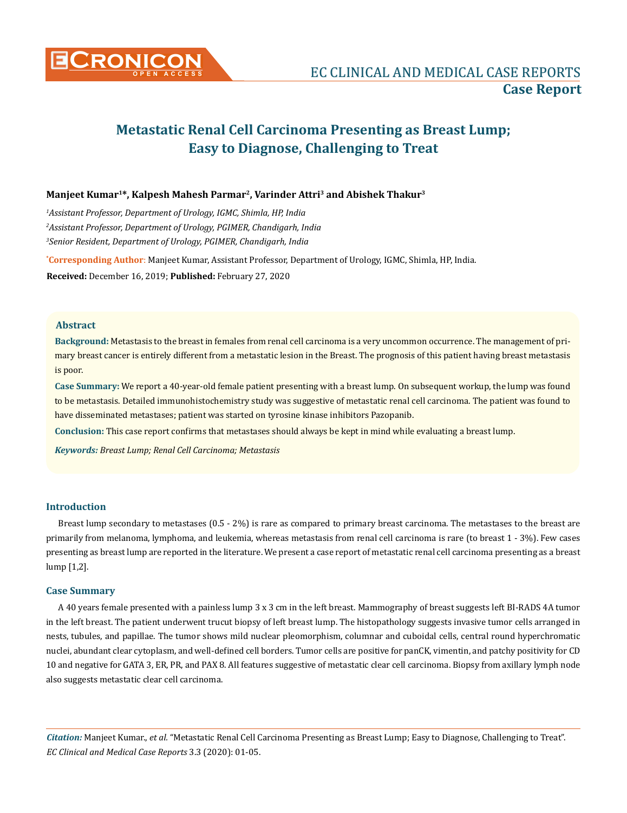

# **Metastatic Renal Cell Carcinoma Presenting as Breast Lump; Easy to Diagnose, Challenging to Treat**

## **Manjeet Kumar1\*, Kalpesh Mahesh Parmar2, Varinder Attri3 and Abishek Thakur3**

*1 Assistant Professor, Department of Urology, IGMC, Shimla, HP, India 2 Assistant Professor, Department of Urology, PGIMER, Chandigarh, India 3 Senior Resident, Department of Urology, PGIMER, Chandigarh, India*

**\* Corresponding Author**: Manjeet Kumar, Assistant Professor, Department of Urology, IGMC, Shimla, HP, India. **Received:** December 16, 2019; **Published:** February 27, 2020

#### **Abstract**

**Background:** Metastasis to the breast in females from renal cell carcinoma is a very uncommon occurrence. The management of primary breast cancer is entirely different from a metastatic lesion in the Breast. The prognosis of this patient having breast metastasis is poor.

**Case Summary:** We report a 40-year-old female patient presenting with a breast lump. On subsequent workup, the lump was found to be metastasis. Detailed immunohistochemistry study was suggestive of metastatic renal cell carcinoma. The patient was found to have disseminated metastases; patient was started on tyrosine kinase inhibitors Pazopanib.

**Conclusion:** This case report confirms that metastases should always be kept in mind while evaluating a breast lump.

*Keywords: Breast Lump; Renal Cell Carcinoma; Metastasis*

## **Introduction**

Breast lump secondary to metastases (0.5 - 2%) is rare as compared to primary breast carcinoma. The metastases to the breast are primarily from melanoma, lymphoma, and leukemia, whereas metastasis from renal cell carcinoma is rare (to breast 1 - 3%). Few cases presenting as breast lump are reported in the literature. We present a case report of metastatic renal cell carcinoma presenting as a breast lump [1,2].

#### **Case Summary**

A 40 years female presented with a painless lump 3 x 3 cm in the left breast. Mammography of breast suggests left BI-RADS 4A tumor in the left breast. The patient underwent trucut biopsy of left breast lump. The histopathology suggests invasive tumor cells arranged in nests, tubules, and papillae. The tumor shows mild nuclear pleomorphism, columnar and cuboidal cells, central round hyperchromatic nuclei, abundant clear cytoplasm, and well-defined cell borders. Tumor cells are positive for panCK, vimentin, and patchy positivity for CD 10 and negative for GATA 3, ER, PR, and PAX 8. All features suggestive of metastatic clear cell carcinoma. Biopsy from axillary lymph node also suggests metastatic clear cell carcinoma.

*Citation:* Manjeet Kumar., *et al.* "Metastatic Renal Cell Carcinoma Presenting as Breast Lump; Easy to Diagnose, Challenging to Treat". *EC Clinical and Medical Case Reports* 3.3 (2020): 01-05.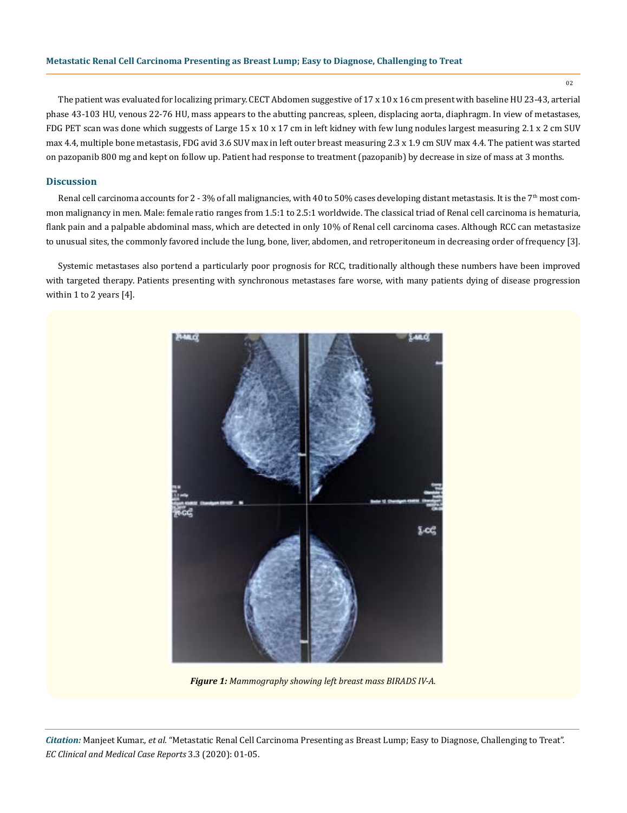The patient was evaluated for localizing primary. CECT Abdomen suggestive of 17 x 10 x 16 cm present with baseline HU 23-43, arterial phase 43-103 HU, venous 22-76 HU, mass appears to the abutting pancreas, spleen, displacing aorta, diaphragm. In view of metastases, FDG PET scan was done which suggests of Large 15 x 10 x 17 cm in left kidney with few lung nodules largest measuring 2.1 x 2 cm SUV max 4.4, multiple bone metastasis, FDG avid 3.6 SUV max in left outer breast measuring 2.3 x 1.9 cm SUV max 4.4. The patient was started on pazopanib 800 mg and kept on follow up. Patient had response to treatment (pazopanib) by decrease in size of mass at 3 months.

## **Discussion**

Renal cell carcinoma accounts for 2 - 3% of all malignancies, with 40 to 50% cases developing distant metastasis. It is the  $7<sup>th</sup>$  most common malignancy in men. Male: female ratio ranges from 1.5:1 to 2.5:1 worldwide. The classical triad of Renal cell carcinoma is hematuria, flank pain and a palpable abdominal mass, which are detected in only 10% of Renal cell carcinoma cases. Although RCC can metastasize to unusual sites, the commonly favored include the lung, bone, liver, abdomen, and retroperitoneum in decreasing order of frequency [3].

Systemic metastases also portend a particularly poor prognosis for RCC, traditionally although these numbers have been improved with targeted therapy. Patients presenting with synchronous metastases fare worse, with many patients dying of disease progression within 1 to 2 years [4].



*Figure 1: Mammography showing left breast mass BIRADS IV-A.*

*Citation:* Manjeet Kumar., *et al.* "Metastatic Renal Cell Carcinoma Presenting as Breast Lump; Easy to Diagnose, Challenging to Treat". *EC Clinical and Medical Case Reports* 3.3 (2020): 01-05.

02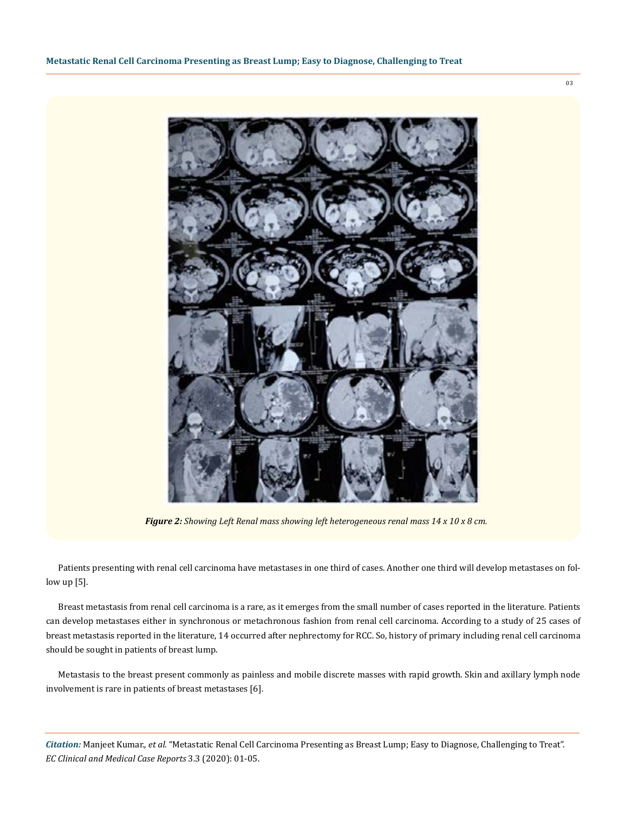

*Figure 2: Showing Left Renal mass showing left heterogeneous renal mass 14 x 10 x 8 cm.*

Patients presenting with renal cell carcinoma have metastases in one third of cases. Another one third will develop metastases on follow up [5].

Breast metastasis from renal cell carcinoma is a rare, as it emerges from the small number of cases reported in the literature. Patients can develop metastases either in synchronous or metachronous fashion from renal cell carcinoma. According to a study of 25 cases of breast metastasis reported in the literature, 14 occurred after nephrectomy for RCC. So, history of primary including renal cell carcinoma should be sought in patients of breast lump.

Metastasis to the breast present commonly as painless and mobile discrete masses with rapid growth. Skin and axillary lymph node involvement is rare in patients of breast metastases [6].

*Citation:* Manjeet Kumar., *et al.* "Metastatic Renal Cell Carcinoma Presenting as Breast Lump; Easy to Diagnose, Challenging to Treat". *EC Clinical and Medical Case Reports* 3.3 (2020): 01-05.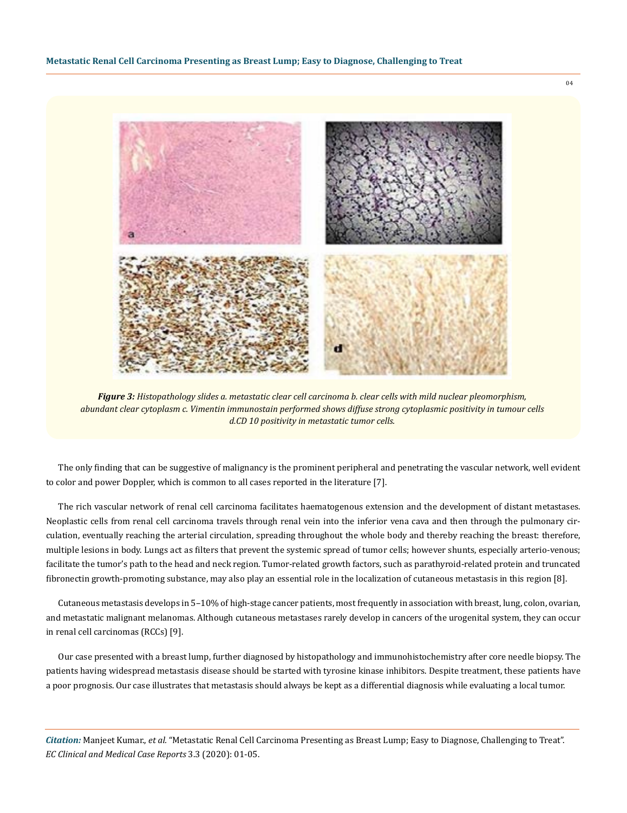

*Figure 3: Histopathology slides a. metastatic clear cell carcinoma b. clear cells with mild nuclear pleomorphism, abundant clear cytoplasm c. Vimentin immunostain performed shows diffuse strong cytoplasmic positivity in tumour cells d.CD 10 positivity in metastatic tumor cells.*

The only finding that can be suggestive of malignancy is the prominent peripheral and penetrating the vascular network, well evident to color and power Doppler, which is common to all cases reported in the literature [7].

The rich vascular network of renal cell carcinoma facilitates haematogenous extension and the development of distant metastases. Neoplastic cells from renal cell carcinoma travels through renal vein into the inferior vena cava and then through the pulmonary circulation, eventually reaching the arterial circulation, spreading throughout the whole body and thereby reaching the breast: therefore, multiple lesions in body. Lungs act as filters that prevent the systemic spread of tumor cells; however shunts, especially arterio-venous; facilitate the tumor's path to the head and neck region. Tumor-related growth factors, such as parathyroid-related protein and truncated fibronectin growth-promoting substance, may also play an essential role in the localization of cutaneous metastasis in this region [8].

Cutaneous metastasis develops in 5–10% of high-stage cancer patients, most frequently in association with breast, lung, colon, ovarian, and metastatic malignant melanomas. Although cutaneous metastases rarely develop in cancers of the urogenital system, they can occur in renal cell carcinomas (RCCs) [9].

Our case presented with a breast lump, further diagnosed by histopathology and immunohistochemistry after core needle biopsy. The patients having widespread metastasis disease should be started with tyrosine kinase inhibitors. Despite treatment, these patients have a poor prognosis. Our case illustrates that metastasis should always be kept as a differential diagnosis while evaluating a local tumor.

*Citation:* Manjeet Kumar., *et al.* "Metastatic Renal Cell Carcinoma Presenting as Breast Lump; Easy to Diagnose, Challenging to Treat". *EC Clinical and Medical Case Reports* 3.3 (2020): 01-05.

04